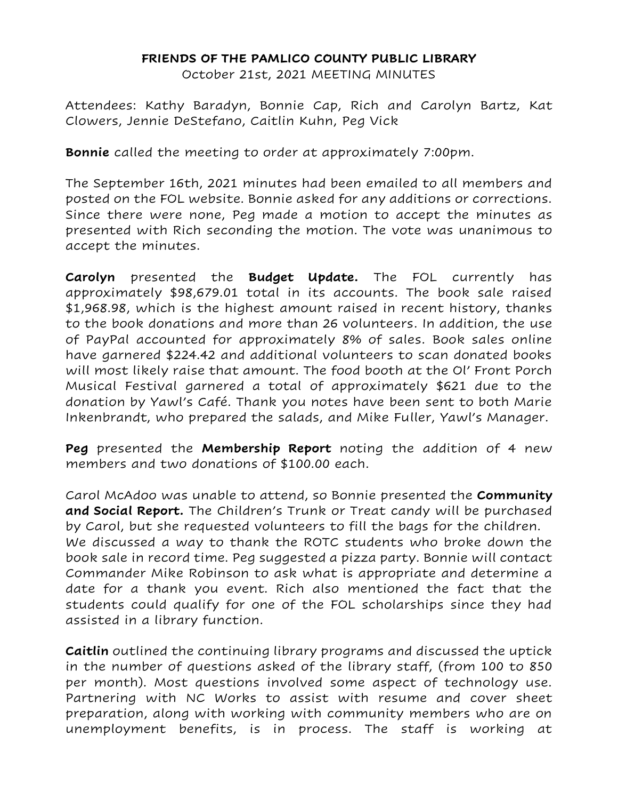## **FRIENDS OF THE PAMLICO COUNTY PUBLIC LIBRARY**

October 21st, 2021 MEETING MINUTES

Attendees: Kathy Baradyn, Bonnie Cap, Rich and Carolyn Bartz, Kat Clowers, Jennie DeStefano, Caitlin Kuhn, Peg Vick

**Bonnie** called the meeting to order at approximately 7:00pm.

The September 16th, 2021 minutes had been emailed to all members and posted on the FOL website. Bonnie asked for any additions or corrections. Since there were none, Peg made a motion to accept the minutes as presented with Rich seconding the motion. The vote was unanimous to accept the minutes.

**Carolyn** presented the **Budget Update.** The FOL currently has approximately \$98,679.01 total in its accounts. The book sale raised \$1,968.98, which is the highest amount raised in recent history, thanks to the book donations and more than 26 volunteers. In addition, the use of PayPal accounted for approximately 8% of sales. Book sales online have garnered \$224.42 and additional volunteers to scan donated books will most likely raise that amount. The food booth at the Ol' Front Porch Musical Festival garnered a total of approximately \$621 due to the donation by Yawl's Café. Thank you notes have been sent to both Marie Inkenbrandt, who prepared the salads, and Mike Fuller, Yawl's Manager.

**Peg** presented the **Membership Report** noting the addition of 4 new members and two donations of \$100.00 each.

Carol McAdoo was unable to attend, so Bonnie presented the **Community and Social Report.** The Children's Trunk or Treat candy will be purchased by Carol, but she requested volunteers to fill the bags for the children. We discussed a way to thank the ROTC students who broke down the book sale in record time. Peg suggested a pizza party. Bonnie will contact Commander Mike Robinson to ask what is appropriate and determine a date for a thank you event. Rich also mentioned the fact that the students could qualify for one of the FOL scholarships since they had assisted in a library function.

**Caitlin** outlined the continuing library programs and discussed the uptick in the number of questions asked of the library staff, (from 100 to 850 per month). Most questions involved some aspect of technology use. Partnering with NC Works to assist with resume and cover sheet preparation, along with working with community members who are on unemployment benefits, is in process. The staff is working at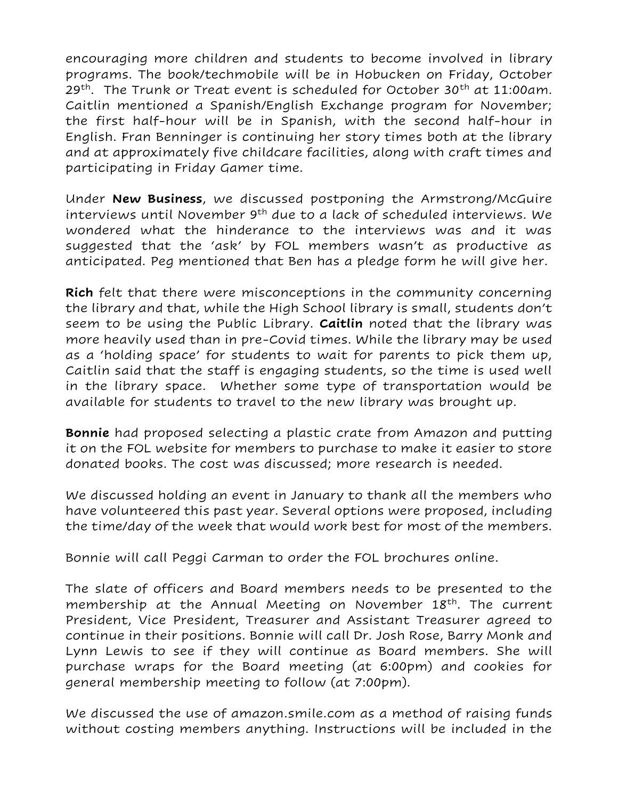encouraging more children and students to become involved in library programs. The book/techmobile will be in Hobucken on Friday, October 29<sup>th</sup>. The Trunk or Treat event is scheduled for October 30<sup>th</sup> at 11:00am. Caitlin mentioned a Spanish/English Exchange program for November; the first half-hour will be in Spanish, with the second half-hour in English. Fran Benninger is continuing her story times both at the library and at approximately five childcare facilities, along with craft times and participating in Friday Gamer time.

Under **New Business**, we discussed postponing the Armstrong/McGuire interviews until November 9<sup>th</sup> due to a lack of scheduled interviews. We wondered what the hinderance to the interviews was and it was suggested that the 'ask' by FOL members wasn't as productive as anticipated. Peg mentioned that Ben has a pledge form he will give her.

**Rich** felt that there were misconceptions in the community concerning the library and that, while the High School library is small, students don't seem to be using the Public Library. **Caitlin** noted that the library was more heavily used than in pre-Covid times. While the library may be used as a 'holding space' for students to wait for parents to pick them up, Caitlin said that the staff is engaging students, so the time is used well in the library space. Whether some type of transportation would be available for students to travel to the new library was brought up.

**Bonnie** had proposed selecting a plastic crate from Amazon and putting it on the FOL website for members to purchase to make it easier to store donated books. The cost was discussed; more research is needed.

We discussed holding an event in January to thank all the members who have volunteered this past year. Several options were proposed, including the time/day of the week that would work best for most of the members.

Bonnie will call Peggi Carman to order the FOL brochures online.

The slate of officers and Board members needs to be presented to the membership at the Annual Meeting on November 18<sup>th</sup>. The current President, Vice President, Treasurer and Assistant Treasurer agreed to continue in their positions. Bonnie will call Dr. Josh Rose, Barry Monk and Lynn Lewis to see if they will continue as Board members. She will purchase wraps for the Board meeting (at 6:00pm) and cookies for general membership meeting to follow (at 7:00pm).

We discussed the use of amazon.smile.com as a method of raising funds without costing members anything. Instructions will be included in the